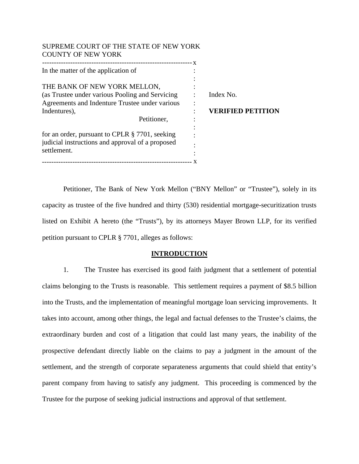| SUPREME COURT OF THE STATE OF NEW YORK<br><b>COUNTY OF NEW YORK</b>                                                                                               |                                       |
|-------------------------------------------------------------------------------------------------------------------------------------------------------------------|---------------------------------------|
| In the matter of the application of                                                                                                                               |                                       |
| THE BANK OF NEW YORK MELLON,<br>(as Trustee under various Pooling and Servicing)<br>Agreements and Indenture Trustee under various<br>Indentures),<br>Petitioner, | Index No.<br><b>VERIFIED PETITION</b> |
| for an order, pursuant to CPLR $\S 7701$ , seeking<br>judicial instructions and approval of a proposed<br>settlement.                                             |                                       |

Petitioner, The Bank of New York Mellon ("BNY Mellon" or "Trustee"), solely in its capacity as trustee of the five hundred and thirty (530) residential mortgage-securitization trusts listed on Exhibit A hereto (the "Trusts"), by its attorneys Mayer Brown LLP, for its verified petition pursuant to CPLR § 7701, alleges as follows:

## **INTRODUCTION**

1. The Trustee has exercised its good faith judgment that a settlement of potential claims belonging to the Trusts is reasonable. This settlement requires a payment of \$8.5 billion into the Trusts, and the implementation of meaningful mortgage loan servicing improvements. It takes into account, among other things, the legal and factual defenses to the Trustee's claims, the extraordinary burden and cost of a litigation that could last many years, the inability of the prospective defendant directly liable on the claims to pay a judgment in the amount of the settlement, and the strength of corporate separateness arguments that could shield that entity's parent company from having to satisfy any judgment. This proceeding is commenced by the Trustee for the purpose of seeking judicial instructions and approval of that settlement.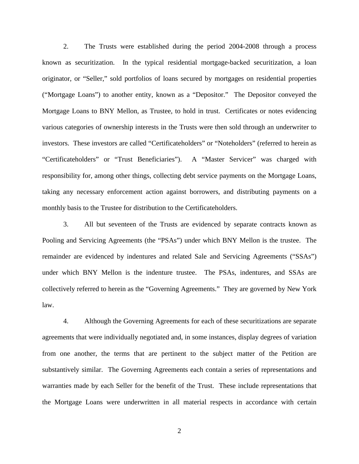2. The Trusts were established during the period 2004-2008 through a process known as securitization. In the typical residential mortgage-backed securitization, a loan originator, or "Seller," sold portfolios of loans secured by mortgages on residential properties ("Mortgage Loans") to another entity, known as a "Depositor." The Depositor conveyed the Mortgage Loans to BNY Mellon, as Trustee, to hold in trust. Certificates or notes evidencing various categories of ownership interests in the Trusts were then sold through an underwriter to investors. These investors are called "Certificateholders" or "Noteholders" (referred to herein as "Certificateholders" or "Trust Beneficiaries"). A "Master Servicer" was charged with responsibility for, among other things, collecting debt service payments on the Mortgage Loans, taking any necessary enforcement action against borrowers, and distributing payments on a monthly basis to the Trustee for distribution to the Certificateholders.

3. All but seventeen of the Trusts are evidenced by separate contracts known as Pooling and Servicing Agreements (the "PSAs") under which BNY Mellon is the trustee. The remainder are evidenced by indentures and related Sale and Servicing Agreements ("SSAs") under which BNY Mellon is the indenture trustee. The PSAs, indentures, and SSAs are collectively referred to herein as the "Governing Agreements." They are governed by New York law.

4. Although the Governing Agreements for each of these securitizations are separate agreements that were individually negotiated and, in some instances, display degrees of variation from one another, the terms that are pertinent to the subject matter of the Petition are substantively similar. The Governing Agreements each contain a series of representations and warranties made by each Seller for the benefit of the Trust. These include representations that the Mortgage Loans were underwritten in all material respects in accordance with certain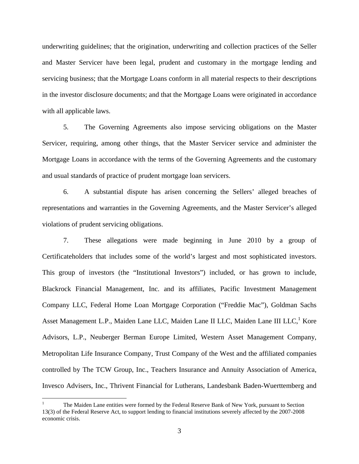underwriting guidelines; that the origination, underwriting and collection practices of the Seller and Master Servicer have been legal, prudent and customary in the mortgage lending and servicing business; that the Mortgage Loans conform in all material respects to their descriptions in the investor disclosure documents; and that the Mortgage Loans were originated in accordance with all applicable laws.

5. The Governing Agreements also impose servicing obligations on the Master Servicer, requiring, among other things, that the Master Servicer service and administer the Mortgage Loans in accordance with the terms of the Governing Agreements and the customary and usual standards of practice of prudent mortgage loan servicers.

6. A substantial dispute has arisen concerning the Sellers' alleged breaches of representations and warranties in the Governing Agreements, and the Master Servicer's alleged violations of prudent servicing obligations.

7. These allegations were made beginning in June 2010 by a group of Certificateholders that includes some of the world's largest and most sophisticated investors. This group of investors (the "Institutional Investors") included, or has grown to include, Blackrock Financial Management, Inc. and its affiliates, Pacific Investment Management Company LLC, Federal Home Loan Mortgage Corporation ("Freddie Mac"), Goldman Sachs Asset Management L.P., Maiden Lane LLC, Maiden Lane II LLC, Maiden Lane III LLC,<sup>1</sup> Kore Advisors, L.P., Neuberger Berman Europe Limited, Western Asset Management Company, Metropolitan Life Insurance Company, Trust Company of the West and the affiliated companies controlled by The TCW Group, Inc., Teachers Insurance and Annuity Association of America, Invesco Advisers, Inc., Thrivent Financial for Lutherans, Landesbank Baden-Wuerttemberg and

<sup>1</sup> The Maiden Lane entities were formed by the Federal Reserve Bank of New York, pursuant to Section 13(3) of the Federal Reserve Act, to support lending to financial institutions severely affected by the 2007-2008 economic crisis.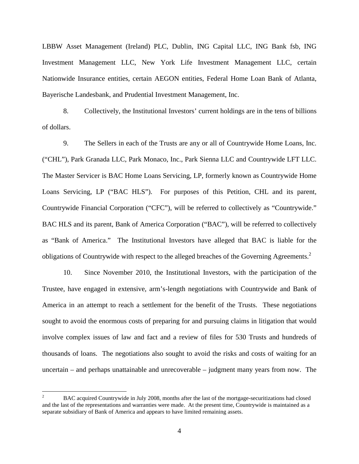LBBW Asset Management (Ireland) PLC, Dublin, ING Capital LLC, ING Bank fsb, ING Investment Management LLC, New York Life Investment Management LLC, certain Nationwide Insurance entities, certain AEGON entities, Federal Home Loan Bank of Atlanta, Bayerische Landesbank, and Prudential Investment Management, Inc.

8. Collectively, the Institutional Investors' current holdings are in the tens of billions of dollars.

9. The Sellers in each of the Trusts are any or all of Countrywide Home Loans, Inc. ("CHL"), Park Granada LLC, Park Monaco, Inc., Park Sienna LLC and Countrywide LFT LLC. The Master Servicer is BAC Home Loans Servicing, LP, formerly known as Countrywide Home Loans Servicing, LP ("BAC HLS"). For purposes of this Petition, CHL and its parent, Countrywide Financial Corporation ("CFC"), will be referred to collectively as "Countrywide." BAC HLS and its parent, Bank of America Corporation ("BAC"), will be referred to collectively as "Bank of America." The Institutional Investors have alleged that BAC is liable for the obligations of Countrywide with respect to the alleged breaches of the Governing Agreements.<sup>2</sup>

10. Since November 2010, the Institutional Investors, with the participation of the Trustee, have engaged in extensive, arm's-length negotiations with Countrywide and Bank of America in an attempt to reach a settlement for the benefit of the Trusts. These negotiations sought to avoid the enormous costs of preparing for and pursuing claims in litigation that would involve complex issues of law and fact and a review of files for 530 Trusts and hundreds of thousands of loans. The negotiations also sought to avoid the risks and costs of waiting for an uncertain – and perhaps unattainable and unrecoverable – judgment many years from now. The

<sup>2</sup> BAC acquired Countrywide in July 2008, months after the last of the mortgage-securitizations had closed and the last of the representations and warranties were made. At the present time, Countrywide is maintained as a separate subsidiary of Bank of America and appears to have limited remaining assets.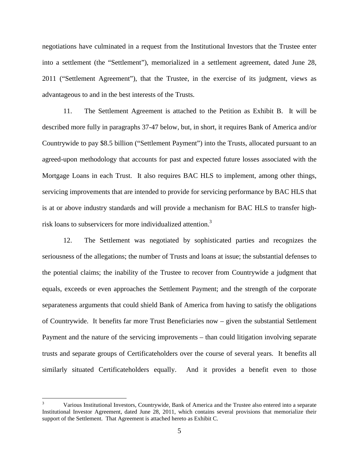negotiations have culminated in a request from the Institutional Investors that the Trustee enter into a settlement (the "Settlement"), memorialized in a settlement agreement, dated June 28, 2011 ("Settlement Agreement"), that the Trustee, in the exercise of its judgment, views as advantageous to and in the best interests of the Trusts.

11. The Settlement Agreement is attached to the Petition as Exhibit B. It will be described more fully in paragraphs 37-47 below, but, in short, it requires Bank of America and/or Countrywide to pay \$8.5 billion ("Settlement Payment") into the Trusts, allocated pursuant to an agreed-upon methodology that accounts for past and expected future losses associated with the Mortgage Loans in each Trust. It also requires BAC HLS to implement, among other things, servicing improvements that are intended to provide for servicing performance by BAC HLS that is at or above industry standards and will provide a mechanism for BAC HLS to transfer highrisk loans to subservicers for more individualized attention.<sup>3</sup>

12. The Settlement was negotiated by sophisticated parties and recognizes the seriousness of the allegations; the number of Trusts and loans at issue; the substantial defenses to the potential claims; the inability of the Trustee to recover from Countrywide a judgment that equals, exceeds or even approaches the Settlement Payment; and the strength of the corporate separateness arguments that could shield Bank of America from having to satisfy the obligations of Countrywide. It benefits far more Trust Beneficiaries now – given the substantial Settlement Payment and the nature of the servicing improvements – than could litigation involving separate trusts and separate groups of Certificateholders over the course of several years. It benefits all similarly situated Certificateholders equally. And it provides a benefit even to those

<sup>3</sup> Various Institutional Investors, Countrywide, Bank of America and the Trustee also entered into a separate Institutional Investor Agreement, dated June 28, 2011, which contains several provisions that memorialize their support of the Settlement. That Agreement is attached hereto as Exhibit C.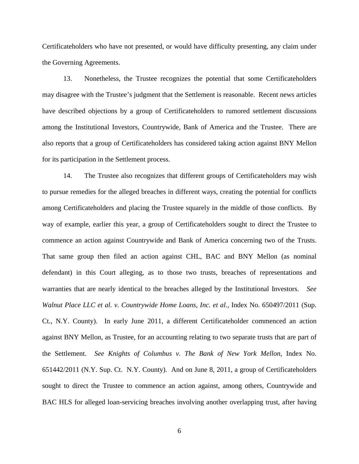Certificateholders who have not presented, or would have difficulty presenting, any claim under the Governing Agreements.

13. Nonetheless, the Trustee recognizes the potential that some Certificateholders may disagree with the Trustee's judgment that the Settlement is reasonable. Recent news articles have described objections by a group of Certificateholders to rumored settlement discussions among the Institutional Investors, Countrywide, Bank of America and the Trustee. There are also reports that a group of Certificateholders has considered taking action against BNY Mellon for its participation in the Settlement process.

14. The Trustee also recognizes that different groups of Certificateholders may wish to pursue remedies for the alleged breaches in different ways, creating the potential for conflicts among Certificateholders and placing the Trustee squarely in the middle of those conflicts. By way of example, earlier this year, a group of Certificateholders sought to direct the Trustee to commence an action against Countrywide and Bank of America concerning two of the Trusts. That same group then filed an action against CHL, BAC and BNY Mellon (as nominal defendant) in this Court alleging, as to those two trusts, breaches of representations and warranties that are nearly identical to the breaches alleged by the Institutional Investors. *See Walnut Place LLC et al. v. Countrywide Home Loans, Inc. et al.*, Index No. 650497/2011 (Sup. Ct., N.Y. County). In early June 2011, a different Certificateholder commenced an action against BNY Mellon, as Trustee, for an accounting relating to two separate trusts that are part of the Settlement. *See Knights of Columbus v. The Bank of New York Mellon*, Index No. 651442/2011 (N.Y. Sup. Ct. N.Y. County). And on June 8, 2011, a group of Certificateholders sought to direct the Trustee to commence an action against, among others, Countrywide and BAC HLS for alleged loan-servicing breaches involving another overlapping trust, after having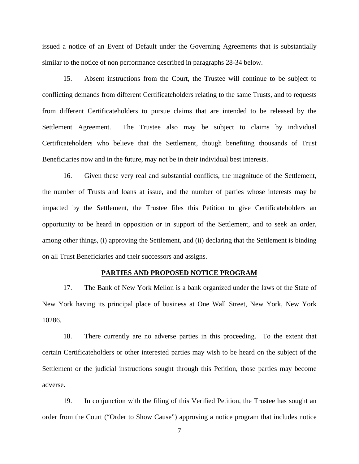issued a notice of an Event of Default under the Governing Agreements that is substantially similar to the notice of non performance described in paragraphs 28-34 below.

15. Absent instructions from the Court, the Trustee will continue to be subject to conflicting demands from different Certificateholders relating to the same Trusts, and to requests from different Certificateholders to pursue claims that are intended to be released by the Settlement Agreement. The Trustee also may be subject to claims by individual Certificateholders who believe that the Settlement, though benefiting thousands of Trust Beneficiaries now and in the future, may not be in their individual best interests.

16. Given these very real and substantial conflicts, the magnitude of the Settlement, the number of Trusts and loans at issue, and the number of parties whose interests may be impacted by the Settlement, the Trustee files this Petition to give Certificateholders an opportunity to be heard in opposition or in support of the Settlement, and to seek an order, among other things, (i) approving the Settlement, and (ii) declaring that the Settlement is binding on all Trust Beneficiaries and their successors and assigns.

## **PARTIES AND PROPOSED NOTICE PROGRAM**

17. The Bank of New York Mellon is a bank organized under the laws of the State of New York having its principal place of business at One Wall Street, New York, New York 10286.

18. There currently are no adverse parties in this proceeding. To the extent that certain Certificateholders or other interested parties may wish to be heard on the subject of the Settlement or the judicial instructions sought through this Petition, those parties may become adverse.

19. In conjunction with the filing of this Verified Petition, the Trustee has sought an order from the Court ("Order to Show Cause") approving a notice program that includes notice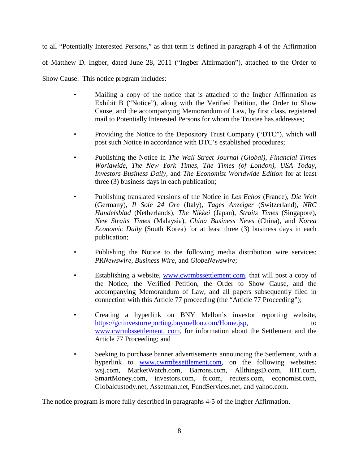to all "Potentially Interested Persons," as that term is defined in paragraph 4 of the Affirmation of Matthew D. Ingber, dated June 28, 2011 ("Ingber Affirmation"), attached to the Order to Show Cause. This notice program includes:

- Mailing a copy of the notice that is attached to the Ingber Affirmation as Exhibit B ("Notice"), along with the Verified Petition, the Order to Show Cause, and the accompanying Memorandum of Law, by first class, registered mail to Potentially Interested Persons for whom the Trustee has addresses;
- Providing the Notice to the Depository Trust Company ("DTC"), which will post such Notice in accordance with DTC's established procedures;
- Publishing the Notice in *The Wall Street Journal (Global)*, *Financial Times Worldwide*, *The New York Times*, *The Times (of London)*, *USA Today, Investors Business Daily,* and *The Economist Worldwide Edition* for at least three (3) business days in each publication;
- Publishing translated versions of the Notice in *Les Echos* (France), *Die Welt* (Germany), *Il Sole 24 Ore* (Italy), *Tages Anzeiger* (Switzerland), *NRC Handelsblad* (Netherlands), *The Nikkei* (Japan), *Straits Times* (Singapore), *New Straits Times* (Malaysia), *China Business News* (China), and *Korea Economic Daily* (South Korea) for at least three (3) business days in each publication;
- Publishing the Notice to the following media distribution wire services: *PRNewswire*, *Business Wire*, and *GlobeNewswire*;
- Establishing a website, www.cwrmbssettlement.com, that will post a copy of the Notice, the Verified Petition, the Order to Show Cause, and the accompanying Memorandum of Law, and all papers subsequently filed in connection with this Article 77 proceeding (the "Article 77 Proceeding");
- Creating a hyperlink on BNY Mellon's investor reporting website, https://gctinvestorreporting.bnymellon.com/Home.jsp, to www.cwrmbssettlement. com, for information about the Settlement and the Article 77 Proceeding; and
- Seeking to purchase banner advertisements announcing the Settlement, with a hyperlink to www.cwrmbssettlement.com, on the following websites: wsj.com, MarketWatch.com, Barrons.com, AllthingsD.com, IHT.com, SmartMoney.com, investors.com, ft.com, reuters.com, economist.com, Globalcustody.net, Assetman.net, FundServices.net, and yahoo.com.

The notice program is more fully described in paragraphs 4-5 of the Ingber Affirmation.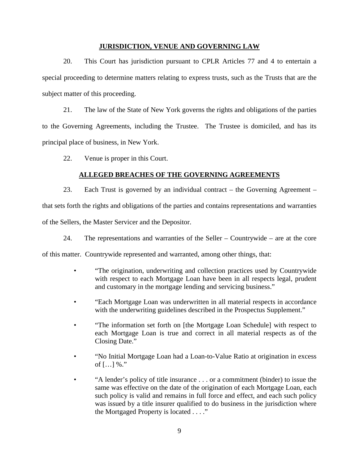### **JURISDICTION, VENUE AND GOVERNING LAW**

20. This Court has jurisdiction pursuant to CPLR Articles 77 and 4 to entertain a special proceeding to determine matters relating to express trusts, such as the Trusts that are the subject matter of this proceeding.

21. The law of the State of New York governs the rights and obligations of the parties to the Governing Agreements, including the Trustee. The Trustee is domiciled, and has its principal place of business, in New York.

22. Venue is proper in this Court.

# **ALLEGED BREACHES OF THE GOVERNING AGREEMENTS**

23. Each Trust is governed by an individual contract – the Governing Agreement – that sets forth the rights and obligations of the parties and contains representations and warranties of the Sellers, the Master Servicer and the Depositor.

24. The representations and warranties of the Seller – Countrywide – are at the core

of this matter. Countrywide represented and warranted, among other things, that:

- "The origination, underwriting and collection practices used by Countrywide with respect to each Mortgage Loan have been in all respects legal, prudent and customary in the mortgage lending and servicing business."
- "Each Mortgage Loan was underwritten in all material respects in accordance with the underwriting guidelines described in the Prospectus Supplement."
- "The information set forth on [the Mortgage Loan Schedule] with respect to each Mortgage Loan is true and correct in all material respects as of the Closing Date."
- "No Initial Mortgage Loan had a Loan-to-Value Ratio at origination in excess of  $[...]$  %."
- "A lender's policy of title insurance . . . or a commitment (binder) to issue the same was effective on the date of the origination of each Mortgage Loan, each such policy is valid and remains in full force and effect, and each such policy was issued by a title insurer qualified to do business in the jurisdiction where the Mortgaged Property is located . . . ."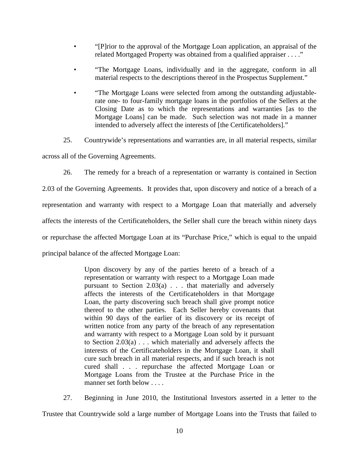- "[P]rior to the approval of the Mortgage Loan application, an appraisal of the related Mortgaged Property was obtained from a qualified appraiser . . . ."
- "The Mortgage Loans, individually and in the aggregate, conform in all material respects to the descriptions thereof in the Prospectus Supplement."
- "The Mortgage Loans were selected from among the outstanding adjustablerate one- to four-family mortgage loans in the portfolios of the Sellers at the Closing Date as to which the representations and warranties [as to the Mortgage Loans] can be made. Such selection was not made in a manner intended to adversely affect the interests of [the Certificateholders]."
- 25. Countrywide's representations and warranties are, in all material respects, similar

across all of the Governing Agreements.

26. The remedy for a breach of a representation or warranty is contained in Section

2.03 of the Governing Agreements. It provides that, upon discovery and notice of a breach of a representation and warranty with respect to a Mortgage Loan that materially and adversely affects the interests of the Certificateholders, the Seller shall cure the breach within ninety days or repurchase the affected Mortgage Loan at its "Purchase Price," which is equal to the unpaid principal balance of the affected Mortgage Loan:

> Upon discovery by any of the parties hereto of a breach of a representation or warranty with respect to a Mortgage Loan made pursuant to Section 2.03(a) . . . that materially and adversely affects the interests of the Certificateholders in that Mortgage Loan, the party discovering such breach shall give prompt notice thereof to the other parties. Each Seller hereby covenants that within 90 days of the earlier of its discovery or its receipt of written notice from any party of the breach of any representation and warranty with respect to a Mortgage Loan sold by it pursuant to Section 2.03(a) . . . which materially and adversely affects the interests of the Certificateholders in the Mortgage Loan, it shall cure such breach in all material respects, and if such breach is not cured shall . . . repurchase the affected Mortgage Loan or Mortgage Loans from the Trustee at the Purchase Price in the manner set forth below . . . .

27. Beginning in June 2010, the Institutional Investors asserted in a letter to the Trustee that Countrywide sold a large number of Mortgage Loans into the Trusts that failed to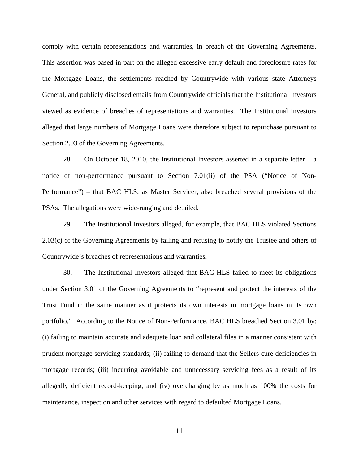comply with certain representations and warranties, in breach of the Governing Agreements. This assertion was based in part on the alleged excessive early default and foreclosure rates for the Mortgage Loans, the settlements reached by Countrywide with various state Attorneys General, and publicly disclosed emails from Countrywide officials that the Institutional Investors viewed as evidence of breaches of representations and warranties. The Institutional Investors alleged that large numbers of Mortgage Loans were therefore subject to repurchase pursuant to Section 2.03 of the Governing Agreements.

28. On October 18, 2010, the Institutional Investors asserted in a separate letter – a notice of non-performance pursuant to Section 7.01(ii) of the PSA ("Notice of Non-Performance") – that BAC HLS, as Master Servicer, also breached several provisions of the PSAs. The allegations were wide-ranging and detailed.

29. The Institutional Investors alleged, for example, that BAC HLS violated Sections 2.03(c) of the Governing Agreements by failing and refusing to notify the Trustee and others of Countrywide's breaches of representations and warranties.

30. The Institutional Investors alleged that BAC HLS failed to meet its obligations under Section 3.01 of the Governing Agreements to "represent and protect the interests of the Trust Fund in the same manner as it protects its own interests in mortgage loans in its own portfolio." According to the Notice of Non-Performance, BAC HLS breached Section 3.01 by: (i) failing to maintain accurate and adequate loan and collateral files in a manner consistent with prudent mortgage servicing standards; (ii) failing to demand that the Sellers cure deficiencies in mortgage records; (iii) incurring avoidable and unnecessary servicing fees as a result of its allegedly deficient record-keeping; and (iv) overcharging by as much as 100% the costs for maintenance, inspection and other services with regard to defaulted Mortgage Loans.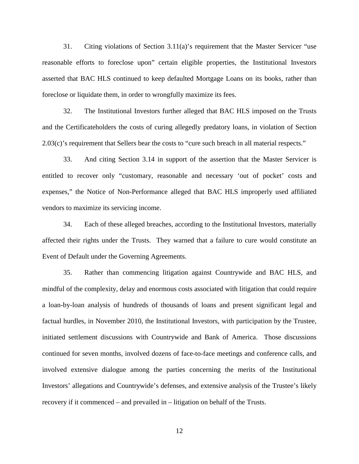31. Citing violations of Section 3.11(a)'s requirement that the Master Servicer "use reasonable efforts to foreclose upon" certain eligible properties, the Institutional Investors asserted that BAC HLS continued to keep defaulted Mortgage Loans on its books, rather than foreclose or liquidate them, in order to wrongfully maximize its fees.

32. The Institutional Investors further alleged that BAC HLS imposed on the Trusts and the Certificateholders the costs of curing allegedly predatory loans, in violation of Section 2.03(c)'s requirement that Sellers bear the costs to "cure such breach in all material respects."

33. And citing Section 3.14 in support of the assertion that the Master Servicer is entitled to recover only "customary, reasonable and necessary 'out of pocket' costs and expenses," the Notice of Non-Performance alleged that BAC HLS improperly used affiliated vendors to maximize its servicing income.

34. Each of these alleged breaches, according to the Institutional Investors, materially affected their rights under the Trusts. They warned that a failure to cure would constitute an Event of Default under the Governing Agreements.

35. Rather than commencing litigation against Countrywide and BAC HLS, and mindful of the complexity, delay and enormous costs associated with litigation that could require a loan-by-loan analysis of hundreds of thousands of loans and present significant legal and factual hurdles, in November 2010, the Institutional Investors, with participation by the Trustee, initiated settlement discussions with Countrywide and Bank of America. Those discussions continued for seven months, involved dozens of face-to-face meetings and conference calls, and involved extensive dialogue among the parties concerning the merits of the Institutional Investors' allegations and Countrywide's defenses, and extensive analysis of the Trustee's likely recovery if it commenced – and prevailed in – litigation on behalf of the Trusts.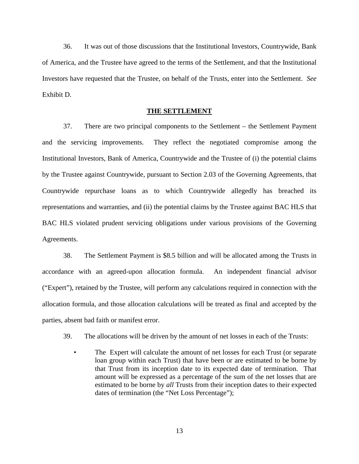36. It was out of those discussions that the Institutional Investors, Countrywide, Bank of America, and the Trustee have agreed to the terms of the Settlement, and that the Institutional Investors have requested that the Trustee, on behalf of the Trusts, enter into the Settlement. *See*  Exhibit D.

## **THE SETTLEMENT**

37. There are two principal components to the Settlement – the Settlement Payment and the servicing improvements. They reflect the negotiated compromise among the Institutional Investors, Bank of America, Countrywide and the Trustee of (i) the potential claims by the Trustee against Countrywide, pursuant to Section 2.03 of the Governing Agreements, that Countrywide repurchase loans as to which Countrywide allegedly has breached its representations and warranties, and (ii) the potential claims by the Trustee against BAC HLS that BAC HLS violated prudent servicing obligations under various provisions of the Governing Agreements.

38. The Settlement Payment is \$8.5 billion and will be allocated among the Trusts in accordance with an agreed-upon allocation formula. An independent financial advisor ("Expert"), retained by the Trustee, will perform any calculations required in connection with the allocation formula, and those allocation calculations will be treated as final and accepted by the parties, absent bad faith or manifest error.

- 39. The allocations will be driven by the amount of net losses in each of the Trusts:
	- The Expert will calculate the amount of net losses for each Trust (or separate loan group within each Trust) that have been or are estimated to be borne by that Trust from its inception date to its expected date of termination. That amount will be expressed as a percentage of the sum of the net losses that are estimated to be borne by *all* Trusts from their inception dates to their expected dates of termination (the "Net Loss Percentage");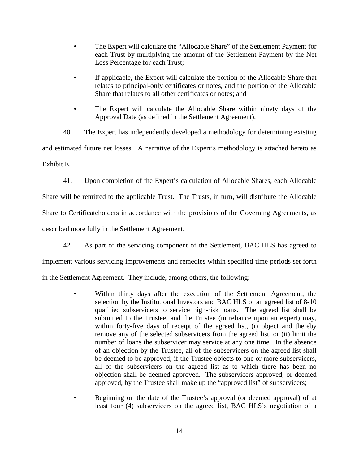- The Expert will calculate the "Allocable Share" of the Settlement Payment for each Trust by multiplying the amount of the Settlement Payment by the Net Loss Percentage for each Trust;
- If applicable, the Expert will calculate the portion of the Allocable Share that relates to principal-only certificates or notes, and the portion of the Allocable Share that relates to all other certificates or notes; and
- The Expert will calculate the Allocable Share within ninety days of the Approval Date (as defined in the Settlement Agreement).

40. The Expert has independently developed a methodology for determining existing and estimated future net losses. A narrative of the Expert's methodology is attached hereto as Exhibit E.

41. Upon completion of the Expert's calculation of Allocable Shares, each Allocable Share will be remitted to the applicable Trust. The Trusts, in turn, will distribute the Allocable Share to Certificateholders in accordance with the provisions of the Governing Agreements, as described more fully in the Settlement Agreement.

42. As part of the servicing component of the Settlement, BAC HLS has agreed to

implement various servicing improvements and remedies within specified time periods set forth

in the Settlement Agreement. They include, among others, the following:

- Within thirty days after the execution of the Settlement Agreement, the selection by the Institutional Investors and BAC HLS of an agreed list of 8-10 qualified subservicers to service high-risk loans. The agreed list shall be submitted to the Trustee, and the Trustee (in reliance upon an expert) may, within forty-five days of receipt of the agreed list, (i) object and thereby remove any of the selected subservicers from the agreed list, or (ii) limit the number of loans the subservicer may service at any one time. In the absence of an objection by the Trustee, all of the subservicers on the agreed list shall be deemed to be approved; if the Trustee objects to one or more subservicers, all of the subservicers on the agreed list as to which there has been no objection shall be deemed approved. The subservicers approved, or deemed approved, by the Trustee shall make up the "approved list" of subservicers;
- Beginning on the date of the Trustee's approval (or deemed approval) of at least four (4) subservicers on the agreed list, BAC HLS's negotiation of a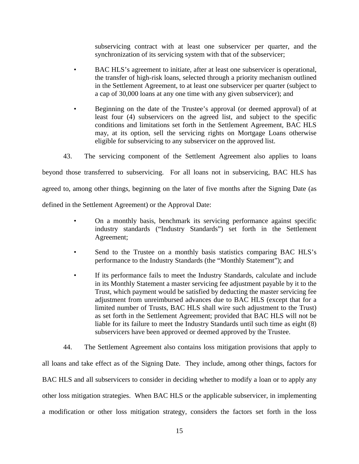subservicing contract with at least one subservicer per quarter, and the synchronization of its servicing system with that of the subservicer;

- BAC HLS's agreement to initiate, after at least one subservicer is operational, the transfer of high-risk loans, selected through a priority mechanism outlined in the Settlement Agreement, to at least one subservicer per quarter (subject to a cap of 30,000 loans at any one time with any given subservicer); and
- Beginning on the date of the Trustee's approval (or deemed approval) of at least four (4) subservicers on the agreed list, and subject to the specific conditions and limitations set forth in the Settlement Agreement, BAC HLS may, at its option, sell the servicing rights on Mortgage Loans otherwise eligible for subservicing to any subservicer on the approved list.
- 43. The servicing component of the Settlement Agreement also applies to loans

beyond those transferred to subservicing. For all loans not in subservicing, BAC HLS has agreed to, among other things, beginning on the later of five months after the Signing Date (as defined in the Settlement Agreement) or the Approval Date:

- On a monthly basis, benchmark its servicing performance against specific industry standards ("Industry Standards") set forth in the Settlement Agreement;
- Send to the Trustee on a monthly basis statistics comparing BAC HLS's performance to the Industry Standards (the "Monthly Statement"); and
- If its performance fails to meet the Industry Standards, calculate and include in its Monthly Statement a master servicing fee adjustment payable by it to the Trust, which payment would be satisfied by deducting the master servicing fee adjustment from unreimbursed advances due to BAC HLS (except that for a limited number of Trusts, BAC HLS shall wire such adjustment to the Trust) as set forth in the Settlement Agreement; provided that BAC HLS will not be liable for its failure to meet the Industry Standards until such time as eight (8) subservicers have been approved or deemed approved by the Trustee.

44. The Settlement Agreement also contains loss mitigation provisions that apply to all loans and take effect as of the Signing Date. They include, among other things, factors for BAC HLS and all subservicers to consider in deciding whether to modify a loan or to apply any other loss mitigation strategies. When BAC HLS or the applicable subservicer, in implementing a modification or other loss mitigation strategy, considers the factors set forth in the loss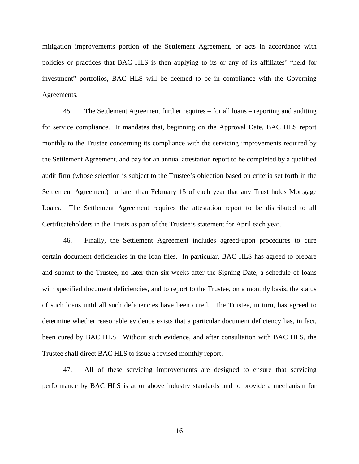mitigation improvements portion of the Settlement Agreement, or acts in accordance with policies or practices that BAC HLS is then applying to its or any of its affiliates' "held for investment" portfolios, BAC HLS will be deemed to be in compliance with the Governing Agreements.

45. The Settlement Agreement further requires – for all loans – reporting and auditing for service compliance. It mandates that, beginning on the Approval Date, BAC HLS report monthly to the Trustee concerning its compliance with the servicing improvements required by the Settlement Agreement, and pay for an annual attestation report to be completed by a qualified audit firm (whose selection is subject to the Trustee's objection based on criteria set forth in the Settlement Agreement) no later than February 15 of each year that any Trust holds Mortgage Loans. The Settlement Agreement requires the attestation report to be distributed to all Certificateholders in the Trusts as part of the Trustee's statement for April each year.

46. Finally, the Settlement Agreement includes agreed-upon procedures to cure certain document deficiencies in the loan files. In particular, BAC HLS has agreed to prepare and submit to the Trustee, no later than six weeks after the Signing Date, a schedule of loans with specified document deficiencies, and to report to the Trustee, on a monthly basis, the status of such loans until all such deficiencies have been cured. The Trustee, in turn, has agreed to determine whether reasonable evidence exists that a particular document deficiency has, in fact, been cured by BAC HLS. Without such evidence, and after consultation with BAC HLS, the Trustee shall direct BAC HLS to issue a revised monthly report.

47. All of these servicing improvements are designed to ensure that servicing performance by BAC HLS is at or above industry standards and to provide a mechanism for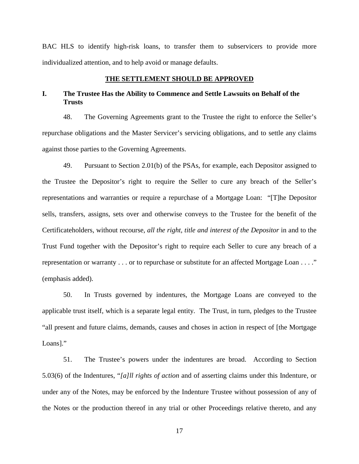BAC HLS to identify high-risk loans, to transfer them to subservicers to provide more individualized attention, and to help avoid or manage defaults.

#### **THE SETTLEMENT SHOULD BE APPROVED**

# **I. The Trustee Has the Ability to Commence and Settle Lawsuits on Behalf of the Trusts**

48. The Governing Agreements grant to the Trustee the right to enforce the Seller's repurchase obligations and the Master Servicer's servicing obligations, and to settle any claims against those parties to the Governing Agreements.

49. Pursuant to Section 2.01(b) of the PSAs, for example, each Depositor assigned to the Trustee the Depositor's right to require the Seller to cure any breach of the Seller's representations and warranties or require a repurchase of a Mortgage Loan: "[T]he Depositor sells, transfers, assigns, sets over and otherwise conveys to the Trustee for the benefit of the Certificateholders, without recourse, *all the right, title and interest of the Depositor* in and to the Trust Fund together with the Depositor's right to require each Seller to cure any breach of a representation or warranty . . . or to repurchase or substitute for an affected Mortgage Loan . . . ." (emphasis added).

50. In Trusts governed by indentures, the Mortgage Loans are conveyed to the applicable trust itself, which is a separate legal entity. The Trust, in turn, pledges to the Trustee "all present and future claims, demands, causes and choses in action in respect of [the Mortgage Loans]."

51. The Trustee's powers under the indentures are broad. According to Section 5.03(6) of the Indentures, "*[a]ll rights of action* and of asserting claims under this Indenture, or under any of the Notes, may be enforced by the Indenture Trustee without possession of any of the Notes or the production thereof in any trial or other Proceedings relative thereto, and any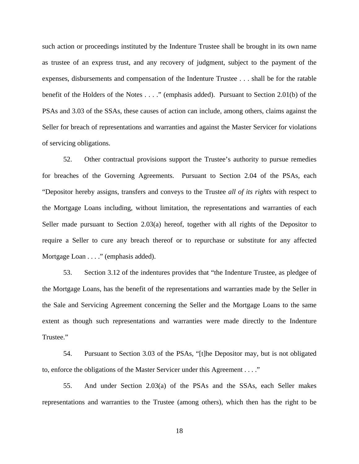such action or proceedings instituted by the Indenture Trustee shall be brought in its own name as trustee of an express trust, and any recovery of judgment, subject to the payment of the expenses, disbursements and compensation of the Indenture Trustee . . . shall be for the ratable benefit of the Holders of the Notes . . . ." (emphasis added). Pursuant to Section 2.01(b) of the PSAs and 3.03 of the SSAs, these causes of action can include, among others, claims against the Seller for breach of representations and warranties and against the Master Servicer for violations of servicing obligations.

52. Other contractual provisions support the Trustee's authority to pursue remedies for breaches of the Governing Agreements. Pursuant to Section 2.04 of the PSAs, each "Depositor hereby assigns, transfers and conveys to the Trustee *all of its rights* with respect to the Mortgage Loans including, without limitation, the representations and warranties of each Seller made pursuant to Section 2.03(a) hereof, together with all rights of the Depositor to require a Seller to cure any breach thereof or to repurchase or substitute for any affected Mortgage Loan . . . ." (emphasis added).

53. Section 3.12 of the indentures provides that "the Indenture Trustee, as pledgee of the Mortgage Loans, has the benefit of the representations and warranties made by the Seller in the Sale and Servicing Agreement concerning the Seller and the Mortgage Loans to the same extent as though such representations and warranties were made directly to the Indenture Trustee."

54. Pursuant to Section 3.03 of the PSAs, "[t]he Depositor may, but is not obligated to, enforce the obligations of the Master Servicer under this Agreement . . . ."

55. And under Section 2.03(a) of the PSAs and the SSAs, each Seller makes representations and warranties to the Trustee (among others), which then has the right to be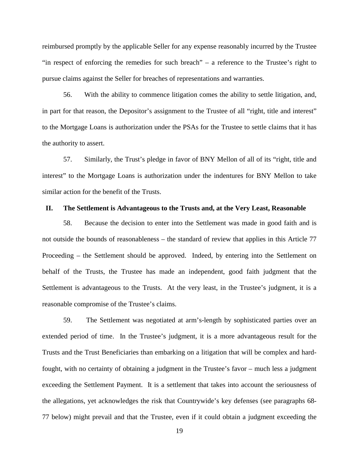reimbursed promptly by the applicable Seller for any expense reasonably incurred by the Trustee "in respect of enforcing the remedies for such breach" – a reference to the Trustee's right to pursue claims against the Seller for breaches of representations and warranties.

56. With the ability to commence litigation comes the ability to settle litigation, and, in part for that reason, the Depositor's assignment to the Trustee of all "right, title and interest" to the Mortgage Loans is authorization under the PSAs for the Trustee to settle claims that it has the authority to assert.

57. Similarly, the Trust's pledge in favor of BNY Mellon of all of its "right, title and interest" to the Mortgage Loans is authorization under the indentures for BNY Mellon to take similar action for the benefit of the Trusts.

#### **II. The Settlement is Advantageous to the Trusts and, at the Very Least, Reasonable**

58. Because the decision to enter into the Settlement was made in good faith and is not outside the bounds of reasonableness – the standard of review that applies in this Article 77 Proceeding – the Settlement should be approved. Indeed, by entering into the Settlement on behalf of the Trusts, the Trustee has made an independent, good faith judgment that the Settlement is advantageous to the Trusts. At the very least, in the Trustee's judgment, it is a reasonable compromise of the Trustee's claims.

59. The Settlement was negotiated at arm's-length by sophisticated parties over an extended period of time. In the Trustee's judgment, it is a more advantageous result for the Trusts and the Trust Beneficiaries than embarking on a litigation that will be complex and hardfought, with no certainty of obtaining a judgment in the Trustee's favor – much less a judgment exceeding the Settlement Payment. It is a settlement that takes into account the seriousness of the allegations, yet acknowledges the risk that Countrywide's key defenses (see paragraphs 68- 77 below) might prevail and that the Trustee, even if it could obtain a judgment exceeding the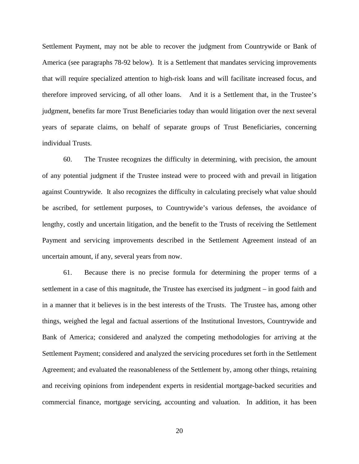Settlement Payment, may not be able to recover the judgment from Countrywide or Bank of America (see paragraphs 78-92 below). It is a Settlement that mandates servicing improvements that will require specialized attention to high-risk loans and will facilitate increased focus, and therefore improved servicing, of all other loans. And it is a Settlement that, in the Trustee's judgment, benefits far more Trust Beneficiaries today than would litigation over the next several years of separate claims, on behalf of separate groups of Trust Beneficiaries, concerning individual Trusts.

60. The Trustee recognizes the difficulty in determining, with precision, the amount of any potential judgment if the Trustee instead were to proceed with and prevail in litigation against Countrywide. It also recognizes the difficulty in calculating precisely what value should be ascribed, for settlement purposes, to Countrywide's various defenses, the avoidance of lengthy, costly and uncertain litigation, and the benefit to the Trusts of receiving the Settlement Payment and servicing improvements described in the Settlement Agreement instead of an uncertain amount, if any, several years from now.

61. Because there is no precise formula for determining the proper terms of a settlement in a case of this magnitude, the Trustee has exercised its judgment – in good faith and in a manner that it believes is in the best interests of the Trusts. The Trustee has, among other things, weighed the legal and factual assertions of the Institutional Investors, Countrywide and Bank of America; considered and analyzed the competing methodologies for arriving at the Settlement Payment; considered and analyzed the servicing procedures set forth in the Settlement Agreement; and evaluated the reasonableness of the Settlement by, among other things, retaining and receiving opinions from independent experts in residential mortgage-backed securities and commercial finance, mortgage servicing, accounting and valuation. In addition, it has been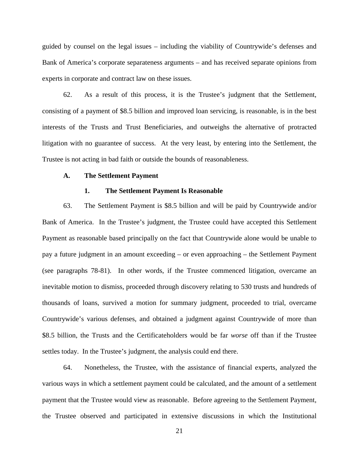guided by counsel on the legal issues – including the viability of Countrywide's defenses and Bank of America's corporate separateness arguments – and has received separate opinions from experts in corporate and contract law on these issues.

62. As a result of this process, it is the Trustee's judgment that the Settlement, consisting of a payment of \$8.5 billion and improved loan servicing, is reasonable, is in the best interests of the Trusts and Trust Beneficiaries, and outweighs the alternative of protracted litigation with no guarantee of success. At the very least, by entering into the Settlement, the Trustee is not acting in bad faith or outside the bounds of reasonableness.

### **A. The Settlement Payment**

#### **1. The Settlement Payment Is Reasonable**

63. The Settlement Payment is \$8.5 billion and will be paid by Countrywide and/or Bank of America. In the Trustee's judgment, the Trustee could have accepted this Settlement Payment as reasonable based principally on the fact that Countrywide alone would be unable to pay a future judgment in an amount exceeding – or even approaching – the Settlement Payment (see paragraphs 78-81). In other words, if the Trustee commenced litigation, overcame an inevitable motion to dismiss, proceeded through discovery relating to 530 trusts and hundreds of thousands of loans, survived a motion for summary judgment, proceeded to trial, overcame Countrywide's various defenses, and obtained a judgment against Countrywide of more than \$8.5 billion, the Trusts and the Certificateholders would be far *worse* off than if the Trustee settles today. In the Trustee's judgment, the analysis could end there.

64. Nonetheless, the Trustee, with the assistance of financial experts, analyzed the various ways in which a settlement payment could be calculated, and the amount of a settlement payment that the Trustee would view as reasonable. Before agreeing to the Settlement Payment, the Trustee observed and participated in extensive discussions in which the Institutional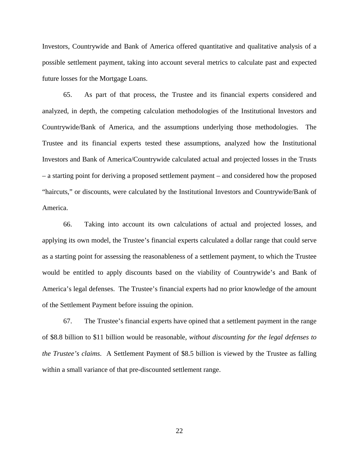Investors, Countrywide and Bank of America offered quantitative and qualitative analysis of a possible settlement payment, taking into account several metrics to calculate past and expected future losses for the Mortgage Loans.

65. As part of that process, the Trustee and its financial experts considered and analyzed, in depth, the competing calculation methodologies of the Institutional Investors and Countrywide/Bank of America, and the assumptions underlying those methodologies. The Trustee and its financial experts tested these assumptions, analyzed how the Institutional Investors and Bank of America/Countrywide calculated actual and projected losses in the Trusts – a starting point for deriving a proposed settlement payment – and considered how the proposed "haircuts," or discounts, were calculated by the Institutional Investors and Countrywide/Bank of America.

66. Taking into account its own calculations of actual and projected losses, and applying its own model, the Trustee's financial experts calculated a dollar range that could serve as a starting point for assessing the reasonableness of a settlement payment, to which the Trustee would be entitled to apply discounts based on the viability of Countrywide's and Bank of America's legal defenses. The Trustee's financial experts had no prior knowledge of the amount of the Settlement Payment before issuing the opinion.

67. The Trustee's financial experts have opined that a settlement payment in the range of \$8.8 billion to \$11 billion would be reasonable, *without discounting for the legal defenses to the Trustee's claims*. A Settlement Payment of \$8.5 billion is viewed by the Trustee as falling within a small variance of that pre-discounted settlement range.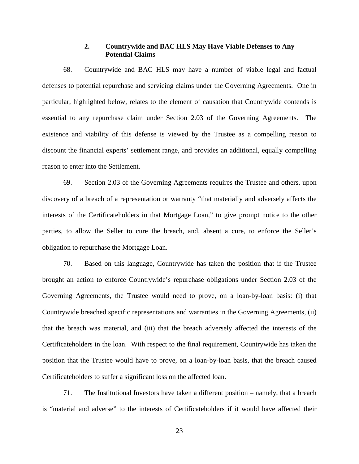# **2. Countrywide and BAC HLS May Have Viable Defenses to Any Potential Claims**

68. Countrywide and BAC HLS may have a number of viable legal and factual defenses to potential repurchase and servicing claims under the Governing Agreements. One in particular, highlighted below, relates to the element of causation that Countrywide contends is essential to any repurchase claim under Section 2.03 of the Governing Agreements. The existence and viability of this defense is viewed by the Trustee as a compelling reason to discount the financial experts' settlement range, and provides an additional, equally compelling reason to enter into the Settlement.

69. Section 2.03 of the Governing Agreements requires the Trustee and others, upon discovery of a breach of a representation or warranty "that materially and adversely affects the interests of the Certificateholders in that Mortgage Loan," to give prompt notice to the other parties, to allow the Seller to cure the breach, and, absent a cure, to enforce the Seller's obligation to repurchase the Mortgage Loan.

70. Based on this language, Countrywide has taken the position that if the Trustee brought an action to enforce Countrywide's repurchase obligations under Section 2.03 of the Governing Agreements, the Trustee would need to prove, on a loan-by-loan basis: (i) that Countrywide breached specific representations and warranties in the Governing Agreements, (ii) that the breach was material, and (iii) that the breach adversely affected the interests of the Certificateholders in the loan. With respect to the final requirement, Countrywide has taken the position that the Trustee would have to prove, on a loan-by-loan basis, that the breach caused Certificateholders to suffer a significant loss on the affected loan.

71. The Institutional Investors have taken a different position – namely, that a breach is "material and adverse" to the interests of Certificateholders if it would have affected their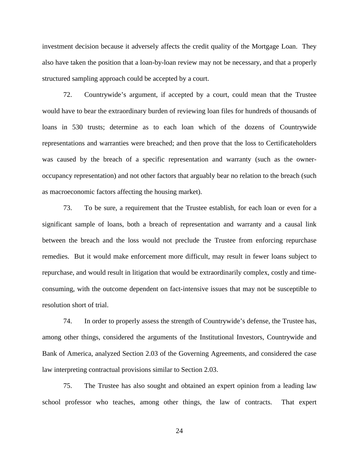investment decision because it adversely affects the credit quality of the Mortgage Loan. They also have taken the position that a loan-by-loan review may not be necessary, and that a properly structured sampling approach could be accepted by a court.

72. Countrywide's argument, if accepted by a court, could mean that the Trustee would have to bear the extraordinary burden of reviewing loan files for hundreds of thousands of loans in 530 trusts; determine as to each loan which of the dozens of Countrywide representations and warranties were breached; and then prove that the loss to Certificateholders was caused by the breach of a specific representation and warranty (such as the owneroccupancy representation) and not other factors that arguably bear no relation to the breach (such as macroeconomic factors affecting the housing market).

73. To be sure, a requirement that the Trustee establish, for each loan or even for a significant sample of loans, both a breach of representation and warranty and a causal link between the breach and the loss would not preclude the Trustee from enforcing repurchase remedies. But it would make enforcement more difficult, may result in fewer loans subject to repurchase, and would result in litigation that would be extraordinarily complex, costly and timeconsuming, with the outcome dependent on fact-intensive issues that may not be susceptible to resolution short of trial.

74. In order to properly assess the strength of Countrywide's defense, the Trustee has, among other things, considered the arguments of the Institutional Investors, Countrywide and Bank of America, analyzed Section 2.03 of the Governing Agreements, and considered the case law interpreting contractual provisions similar to Section 2.03.

75. The Trustee has also sought and obtained an expert opinion from a leading law school professor who teaches, among other things, the law of contracts. That expert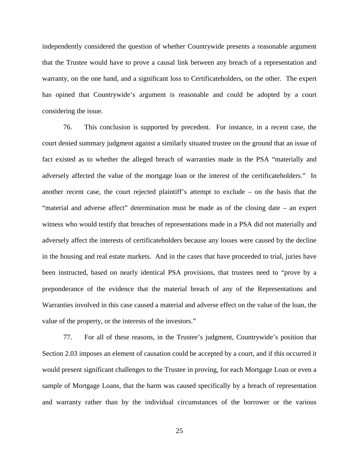independently considered the question of whether Countrywide presents a reasonable argument that the Trustee would have to prove a causal link between any breach of a representation and warranty, on the one hand, and a significant loss to Certificateholders, on the other. The expert has opined that Countrywide's argument is reasonable and could be adopted by a court considering the issue.

76. This conclusion is supported by precedent. For instance, in a recent case, the court denied summary judgment against a similarly situated trustee on the ground that an issue of fact existed as to whether the alleged breach of warranties made in the PSA "materially and adversely affected the value of the mortgage loan or the interest of the certificateholders." In another recent case, the court rejected plaintiff's attempt to exclude – on the basis that the "material and adverse affect" determination must be made as of the closing date – an expert witness who would testify that breaches of representations made in a PSA did not materially and adversely affect the interests of certificateholders because any losses were caused by the decline in the housing and real estate markets. And in the cases that have proceeded to trial, juries have been instructed, based on nearly identical PSA provisions, that trustees need to "prove by a preponderance of the evidence that the material breach of any of the Representations and Warranties involved in this case caused a material and adverse effect on the value of the loan, the value of the property, or the interests of the investors."

77. For all of these reasons, in the Trustee's judgment, Countrywide's position that Section 2.03 imposes an element of causation could be accepted by a court, and if this occurred it would present significant challenges to the Trustee in proving, for each Mortgage Loan or even a sample of Mortgage Loans, that the harm was caused specifically by a breach of representation and warranty rather than by the individual circumstances of the borrower or the various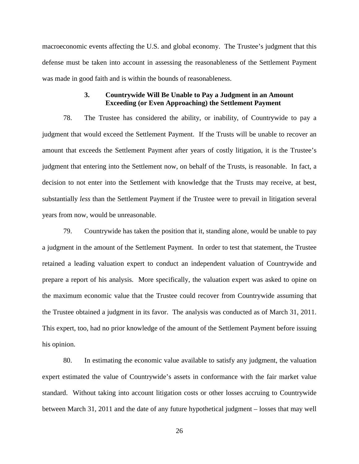macroeconomic events affecting the U.S. and global economy. The Trustee's judgment that this defense must be taken into account in assessing the reasonableness of the Settlement Payment was made in good faith and is within the bounds of reasonableness.

# **3. Countrywide Will Be Unable to Pay a Judgment in an Amount Exceeding (or Even Approaching) the Settlement Payment**

78. The Trustee has considered the ability, or inability, of Countrywide to pay a judgment that would exceed the Settlement Payment. If the Trusts will be unable to recover an amount that exceeds the Settlement Payment after years of costly litigation, it is the Trustee's judgment that entering into the Settlement now, on behalf of the Trusts, is reasonable. In fact, a decision to not enter into the Settlement with knowledge that the Trusts may receive, at best, substantially *less* than the Settlement Payment if the Trustee were to prevail in litigation several years from now, would be unreasonable.

79. Countrywide has taken the position that it, standing alone, would be unable to pay a judgment in the amount of the Settlement Payment. In order to test that statement, the Trustee retained a leading valuation expert to conduct an independent valuation of Countrywide and prepare a report of his analysis. More specifically, the valuation expert was asked to opine on the maximum economic value that the Trustee could recover from Countrywide assuming that the Trustee obtained a judgment in its favor. The analysis was conducted as of March 31, 2011. This expert, too, had no prior knowledge of the amount of the Settlement Payment before issuing his opinion.

80. In estimating the economic value available to satisfy any judgment, the valuation expert estimated the value of Countrywide's assets in conformance with the fair market value standard. Without taking into account litigation costs or other losses accruing to Countrywide between March 31, 2011 and the date of any future hypothetical judgment – losses that may well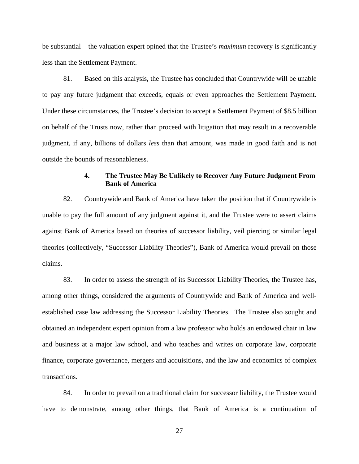be substantial – the valuation expert opined that the Trustee's *maximum* recovery is significantly less than the Settlement Payment.

81. Based on this analysis, the Trustee has concluded that Countrywide will be unable to pay any future judgment that exceeds, equals or even approaches the Settlement Payment. Under these circumstances, the Trustee's decision to accept a Settlement Payment of \$8.5 billion on behalf of the Trusts now, rather than proceed with litigation that may result in a recoverable judgment, if any, billions of dollars *less* than that amount, was made in good faith and is not outside the bounds of reasonableness.

# **4. The Trustee May Be Unlikely to Recover Any Future Judgment From Bank of America**

82. Countrywide and Bank of America have taken the position that if Countrywide is unable to pay the full amount of any judgment against it, and the Trustee were to assert claims against Bank of America based on theories of successor liability, veil piercing or similar legal theories (collectively, "Successor Liability Theories"), Bank of America would prevail on those claims.

83. In order to assess the strength of its Successor Liability Theories, the Trustee has, among other things, considered the arguments of Countrywide and Bank of America and wellestablished case law addressing the Successor Liability Theories. The Trustee also sought and obtained an independent expert opinion from a law professor who holds an endowed chair in law and business at a major law school, and who teaches and writes on corporate law, corporate finance, corporate governance, mergers and acquisitions, and the law and economics of complex transactions.

84. In order to prevail on a traditional claim for successor liability, the Trustee would have to demonstrate, among other things, that Bank of America is a continuation of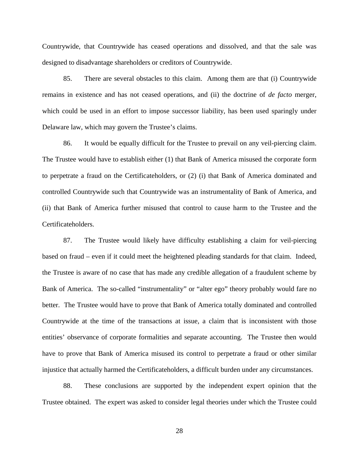Countrywide, that Countrywide has ceased operations and dissolved, and that the sale was designed to disadvantage shareholders or creditors of Countrywide.

85. There are several obstacles to this claim. Among them are that (i) Countrywide remains in existence and has not ceased operations, and (ii) the doctrine of *de facto* merger, which could be used in an effort to impose successor liability, has been used sparingly under Delaware law, which may govern the Trustee's claims.

86. It would be equally difficult for the Trustee to prevail on any veil-piercing claim. The Trustee would have to establish either (1) that Bank of America misused the corporate form to perpetrate a fraud on the Certificateholders, or (2) (i) that Bank of America dominated and controlled Countrywide such that Countrywide was an instrumentality of Bank of America, and (ii) that Bank of America further misused that control to cause harm to the Trustee and the Certificateholders.

87. The Trustee would likely have difficulty establishing a claim for veil-piercing based on fraud – even if it could meet the heightened pleading standards for that claim. Indeed, the Trustee is aware of no case that has made any credible allegation of a fraudulent scheme by Bank of America. The so-called "instrumentality" or "alter ego" theory probably would fare no better. The Trustee would have to prove that Bank of America totally dominated and controlled Countrywide at the time of the transactions at issue, a claim that is inconsistent with those entities' observance of corporate formalities and separate accounting. The Trustee then would have to prove that Bank of America misused its control to perpetrate a fraud or other similar injustice that actually harmed the Certificateholders, a difficult burden under any circumstances.

88. These conclusions are supported by the independent expert opinion that the Trustee obtained. The expert was asked to consider legal theories under which the Trustee could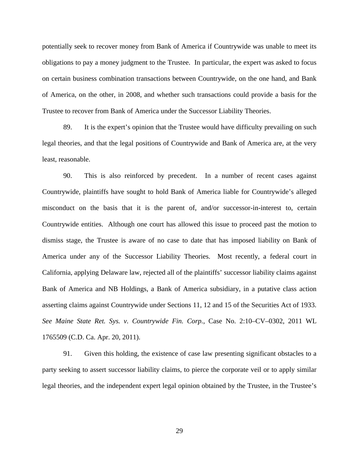potentially seek to recover money from Bank of America if Countrywide was unable to meet its obligations to pay a money judgment to the Trustee. In particular, the expert was asked to focus on certain business combination transactions between Countrywide, on the one hand, and Bank of America, on the other, in 2008, and whether such transactions could provide a basis for the Trustee to recover from Bank of America under the Successor Liability Theories.

89. It is the expert's opinion that the Trustee would have difficulty prevailing on such legal theories, and that the legal positions of Countrywide and Bank of America are, at the very least, reasonable.

90. This is also reinforced by precedent. In a number of recent cases against Countrywide, plaintiffs have sought to hold Bank of America liable for Countrywide's alleged misconduct on the basis that it is the parent of, and/or successor-in-interest to, certain Countrywide entities. Although one court has allowed this issue to proceed past the motion to dismiss stage, the Trustee is aware of no case to date that has imposed liability on Bank of America under any of the Successor Liability Theories. Most recently, a federal court in California, applying Delaware law, rejected all of the plaintiffs' successor liability claims against Bank of America and NB Holdings, a Bank of America subsidiary, in a putative class action asserting claims against Countrywide under Sections 11, 12 and 15 of the Securities Act of 1933. *See Maine State Ret. Sys. v. Countrywide Fin. Corp.*, Case No. 2:10–CV–0302, 2011 WL 1765509 (C.D. Ca. Apr. 20, 2011).

91. Given this holding, the existence of case law presenting significant obstacles to a party seeking to assert successor liability claims, to pierce the corporate veil or to apply similar legal theories, and the independent expert legal opinion obtained by the Trustee, in the Trustee's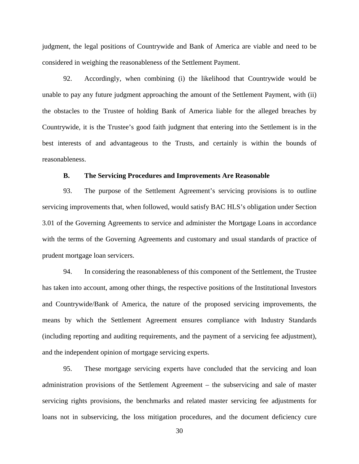judgment, the legal positions of Countrywide and Bank of America are viable and need to be considered in weighing the reasonableness of the Settlement Payment.

92. Accordingly, when combining (i) the likelihood that Countrywide would be unable to pay any future judgment approaching the amount of the Settlement Payment, with (ii) the obstacles to the Trustee of holding Bank of America liable for the alleged breaches by Countrywide, it is the Trustee's good faith judgment that entering into the Settlement is in the best interests of and advantageous to the Trusts, and certainly is within the bounds of reasonableness.

## **B. The Servicing Procedures and Improvements Are Reasonable**

93. The purpose of the Settlement Agreement's servicing provisions is to outline servicing improvements that, when followed, would satisfy BAC HLS's obligation under Section 3.01 of the Governing Agreements to service and administer the Mortgage Loans in accordance with the terms of the Governing Agreements and customary and usual standards of practice of prudent mortgage loan servicers.

94. In considering the reasonableness of this component of the Settlement, the Trustee has taken into account, among other things, the respective positions of the Institutional Investors and Countrywide/Bank of America, the nature of the proposed servicing improvements, the means by which the Settlement Agreement ensures compliance with Industry Standards (including reporting and auditing requirements, and the payment of a servicing fee adjustment), and the independent opinion of mortgage servicing experts.

95. These mortgage servicing experts have concluded that the servicing and loan administration provisions of the Settlement Agreement – the subservicing and sale of master servicing rights provisions, the benchmarks and related master servicing fee adjustments for loans not in subservicing, the loss mitigation procedures, and the document deficiency cure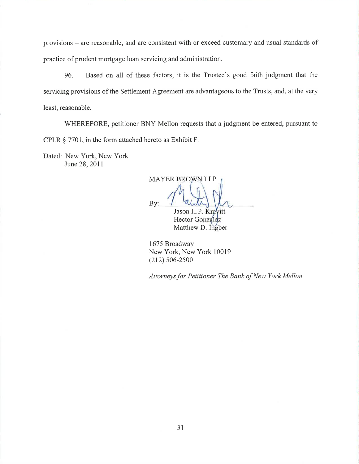provisions – are reasonable, and are consistent with or exceed customary and usual standards of practice of prudent mortgage loan servicing and administration.

96. Based on all of these factors, it is the Trustee's good faith judgment that the servicing provisions of the Settlement Agreement are advantageous to the Trusts, and, at the very least, reasonable.

WHEREFORE, petitioner BNY Mellon requests that a judgment be entered, pursuant to CPLR  $\S$  7701, in the form attached hereto as Exhibit F.

Dated: New York, New York June 28, 2011

**MAYER BROWN LLP** By: Jason H.P. Kravitt

Hector Gonzalez Matthew D. Ingber

1675 Broadway New York, New York 10019  $(212) 506 - 2500$ 

Attorneys for Petitioner The Bank of New York Mellon